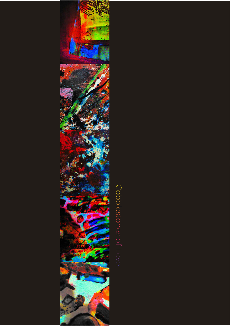

## Cobolestones of Love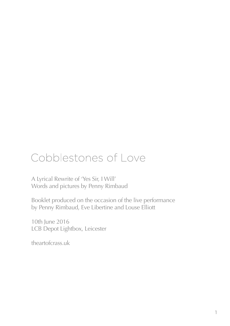## Cobblestones of Love

A Lyrical Rewrite of 'Yes Sir, I Will' Words and pictures by Penny Rimbaud

Booklet produced on the occasion of the live performance by Penny Rimbaud, Eve Libertine and Louse Elliott

10th June 2016 LCB Depot Lightbox, Leicester

theartofcrass.uk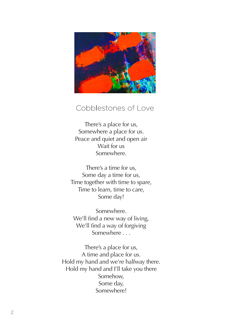

## Cobblestones of Love

There's a place for us, Somewhere a place for us. Peace and quiet and open air Wait for us Somewhere.

There's a time for us, Some day a time for us, Time together with time to spare, Time to learn, time to care, Some day!

Somewhere. We'll find a new way of living, We'll find a way of forgiving Somewhere . . .

There's a place for us, A time and place for us. Hold my hand and we're halfway there. Hold my hand and I'll take you there Somehow, Some day, Somewhere!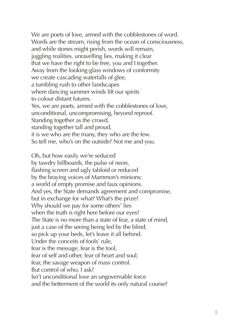We are poets of love, armed with the cobblestones of word. Words are the stream, rising from the ocean of consciousness, and while stones might perish, words will remain, juggling realities, unravelling lies, making it clear that we have the right to be free, you and I together. Away from the looking-glass windows of conformity we create cascading waterfalls of glee, a tumbling rush to other landscapes where dancing summer winds lift our spirits to colour distant futures. Yes, we are poets, armed with the cobblestones of love, unconditional, uncompromising, beyond reproof. Standing together as the crowd, standing together tall and proud, it is we who are the many, they who are the few. So tell me, who's on the outside? Not me and you.

Oh, but how easily we're seduced by tawdry billboards, the pulse of neon, flashing screen and ugly tabloid or reduced by the braying voices of Mammon's minions; a world of empty promise and faux opinions. And yes, the State demands agreement and compromise, but in exchange for what? What's the prize? Why should we pay for some others' lies when the truth is right here before our eyes? The State is no more than a state of fear, a state of mind, just a case of the seeing being led by the blind; so pick up your beds, let's leave it all behind. Under the conceits of fools' rule, fear is the message, fear is the tool, fear of self and other, fear of heart and soul; fear, the savage weapon of mass control. But control of who, I ask? Isn't unconditional love an ungovernable force and the betterment of the world its only natural course?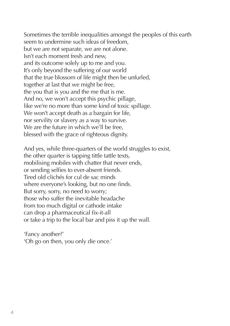Sometimes the terrible inequalities amongst the peoples of this earth seem to undermine such ideas of freedom, but we are not separate, we are not alone. Isn't each moment fresh and new, and its outcome solely up to me and you. It's only beyond the suffering of our world that the true blossom of life might then be unfurled, together at last that we might be free, the you that is you and the me that is me. And no, we won't accept this psychic pillage, like we're no more than some kind of toxic spillage. We won't accept death as a bargain for life, nor servility or slavery as a way to survive. We are the future in which we'll be free. blessed with the grace of righteous dignity.

And yes, while three-quarters of the world struggles to exist, the other quarter is tapping tittle tattle texts, mobilising mobiles with chatter that never ends, or sending selfies to ever-absent friends. Tired old clichés for cul de sac minds where everyone's looking, but no one finds. But sorry, sorry, no need to worry; those who suffer the inevitable headache from too much digital or cathode intake can drop a pharmaceutical fix-it-all or take a trip to the local bar and piss it up the wall.

'Fancy another?' 'Oh go on then, you only die once.'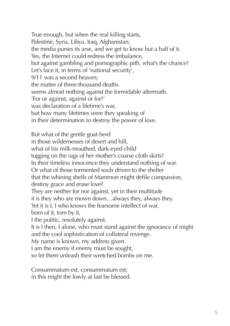True enough, but when the real killing starts, Palestine, Syria, Libya, Iraq, Afghanistan, the media purses its arse, and we get to know but a half of it. Yes, the Internet could redress the imbalance, but against gambling and pornographic pith, what's the chance? Let's face it, in terms of 'national security', 9/11 was a second heaven; the matter of three-thousand deaths seems almost nothing against the formidable aftermath. 'For or against, against or for?' was declaration of a lifetime's war, but how many lifetimes were they speaking of in their determination to destroy the power of love.

But what of the gentle goat-herd in those wildernesses of desert and hill, what of his milk-mouthed, dark-eyed child tugging on the rags of her mother's coarse cloth skirts? In their timeless innocence they understand nothing of war. Or what of those tormented souls driven to the shelter that the whining shells of Mammon might defile compassion, destroy grace and erase love? They are neither for nor against, yet in their multitude it is they who are mown down…always they, always they. Yet it is I, I who knows the fearsome intellect of war, born of it, torn by it, I the politic, resolutely against. It is I then, I alone, who must stand against the ignorance of might and the cool sophistication of collateral revenge. My name is known, my address given. I am the enemy if enemy must be sought, so let them unleash their wretched bombs on me.

Consummatum est, consummatum est; in this might the lowly at last be blessed.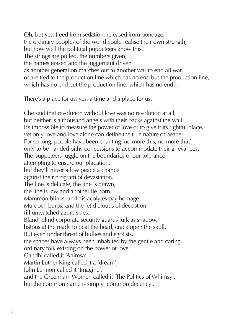Oh, but yes, freed from sedation, released from bondage, the ordinary peoples of the world could realise their own strength, but how well the political puppeteers know this. The strings are pulled, the numbers given, the names erased and the juggernaut driven as another generation marches out to another war to end all war, or are tied to the production line which has no end but the production line, which has no end but the production line, which has no end…

There's a place for us, yes, a time and a place for us.

Che said that revolution without love was no revolution at all, but neither is a thousand angels with their backs against the wall. It's impossible to measure the power of love or to give it its rightful place, yet only love and love alone can define the true nature of peace. For so long, people have been chanting 'no more this, no more that', only to be handed pithy concessions to accommodate their grievances. The puppeteers juggle on the boundaries of our tolerance attempting to ensure our placation, but they'll never allow peace a chance against their program of devastation. The line is delicate, the line is drawn, the line is law and another lie born. Mammon blinks, and his acolytes pay homage. Murdoch burps, and the fetid clouds of deception fill unwatched azure skies. Bland, blind corporate security guards lurk as shadow, batons at the ready to beat the head, crack open the skull. But even under threat of bullies and egotists, the spaces have always been inhabited by the gentle and caring, ordinary folk existing on the power of love. Gandhi called it 'Ahimsa'. Martin Luther King called it a 'dream', John Lennon called it 'Imagine', and the Greenham Women called it 'The Politics of Whimsy', but the common name is simply 'common decency'.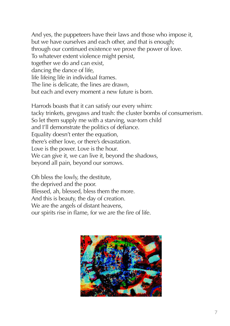And yes, the puppeteers have their laws and those who impose it, but we have ourselves and each other, and that is enough; through our continued existence we prove the power of love. To whatever extent violence might persist, together we do and can exist, dancing the dance of life, life lifeing life in individual frames. The line is delicate, the lines are drawn, but each and every moment a new future is born.

Harrods boasts that it can satisfy our every whim: tacky trinkets, gewgaws and trash: the cluster bombs of consumerism. So let them supply me with a starving, war-torn child and I'll demonstrate the politics of defiance. Equality doesn't enter the equation, there's either love, or there's devastation. Love is the power. Love is the hour. We can give it, we can live it, beyond the shadows, beyond all pain, beyond our sorrows.

Oh bless the lowly, the destitute, the deprived and the poor. Blessed, ah, blessed, bless them the more. And this is beauty, the day of creation. We are the angels of distant heavens, our spirits rise in flame, for we are the fire of life.

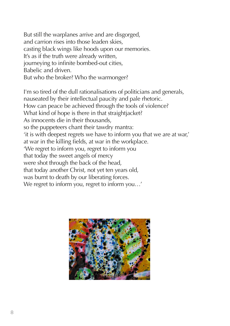But still the warplanes arrive and are disgorged, and carrion rises into those leaden skies, casting black wings like hoods upon our memories. It's as if the truth were already written, journeying to infinite bombed-out cities, Babelic and driven. But who the broker? Who the warmonger?

I'm so tired of the dull rationalisations of politicians and generals, nauseated by their intellectual paucity and pale rhetoric. How can peace be achieved through the tools of violence? What kind of hope is there in that straightjacket? As innocents die in their thousands, so the puppeteers chant their tawdry mantra: 'it is with deepest regrets we have to inform you that we are at war,' at war in the killing fields, at war in the workplace. 'We regret to inform you, regret to inform you that today the sweet angels of mercy were shot through the back of the head, that today another Christ, not yet ten years old, was burnt to death by our liberating forces. We regret to inform you, regret to inform you…'

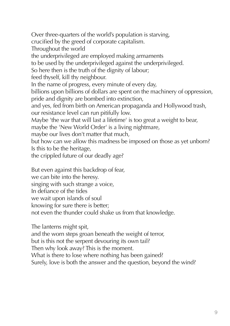Over three-quarters of the world's population is starving, crucified by the greed of corporate capitalism. Throughout the world the underprivileged are employed making armaments to be used by the underprivileged against the underprivileged. So here then is the truth of the dignity of labour; feed thyself, kill thy neighbour. In the name of progress, every minute of every day, billions upon billions of dollars are spent on the machinery of oppression, pride and dignity are bombed into extinction, and yes, fed from birth on American propaganda and Hollywood trash, our resistance level can run pitifully low. Maybe 'the war that will last a lifetime' is too great a weight to bear, maybe the 'New World Order' is a living nightmare, maybe our lives don't matter that much, but how can we allow this madness be imposed on those as yet unborn? Is this to be the heritage, the crippled future of our deadly age?

But even against this backdrop of fear,

we can bite into the heresy.

singing with such strange a voice,

In defiance of the tides

we wait upon islands of soul

knowing for sure there is better;

not even the thunder could shake us from that knowledge.

The lanterns might spit,

and the worn steps groan beneath the weight of terror,

but is this not the serpent devouring its own tail?

Then why look away? This is the moment.

What is there to lose where nothing has been gained?

Surely, love is both the answer and the question, beyond the wind?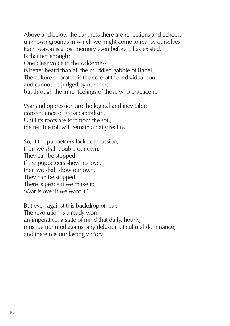Above and below the darkness there are reflections and echoes, unknown grounds in which we might come to realise ourselves. Each season is a lost memory even before it has existed. Is that not enough? One clear voice in the wilderness is better heard than all the muddled gabble of Babel. The culture of protest is the core of the individual soul and cannot be judged by numbers, but through the inner feelings of those who practice it.

War and oppression are the logical and inevitable consequence of gross capitalism. Until its roots are torn from the soil, the terrible toll will remain a daily reality.

So, if the puppeteers lack compassion, then we shall double our own. They can be stopped. If the puppeteers show no love, then we shall show our own. They can be stopped. There is peace if we make it: 'War is over if we want it.'

But even against this backdrop of fear, The revolution is already won: an imperative, a state of mind that daily, hourly, must be nurtured against any delusion of cultural dominance, and therein is our lasting victory.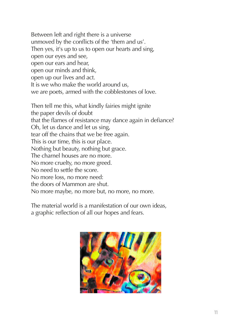Between left and right there is a universe unmoved by the conflicts of the 'them and us'. Then yes, it's up to us to open our hearts and sing, open our eyes and see, open our ears and hear, open our minds and think, open up our lives and act. It is we who make the world around us, we are poets, armed with the cobblestones of love.

Then tell me this, what kindly fairies might ignite the paper devils of doubt that the flames of resistance may dance again in defiance? Oh, let us dance and let us sing, tear off the chains that we be free again. This is our time, this is our place. Nothing but beauty, nothing but grace. The charnel houses are no more. No more cruelty, no more greed. No need to settle the score. No more loss, no more need: the doors of Mammon are shut. No more maybe, no more but, no more, no more.

The material world is a manifestation of our own ideas, a graphic reflection of all our hopes and fears.